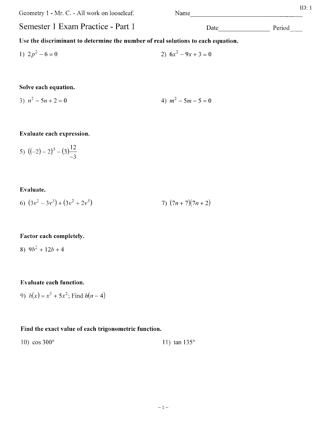Geometry 1 - Mr. C. - All work on looseleaf. Semester 1 Exam Practice - Part 1 Name Use the discriminant to determine the number of real solutions to each equation.

1) 
$$
2p^2 - 6 = 0
$$
  
2)  $6x^2 - 9x + 3 = 0$ 

## Solve each equation.

3) 
$$
n^2 - 5n + 2 = 0
$$
 4)  $m^2 - 5m - 5 = 0$ 

## Evaluate each expression.

5) 
$$
((-2)-2)^3 - (3)^{\frac{12}{-3}}
$$

Evaluate.

6) 
$$
(3v^2 - 3v^3) + (3v^2 + 2v^3)
$$
 7)  $(7n + 7)(7n + 2)$ 

# Factor each completely.

8)  $9b^2 + 12b + 4$ 

# Evaluate each function.

9)  $h(x) = x^3 + 5x^2$ ; Find  $h(n - 4)$ 

# Find the exact value of each trigonometric function.

10)  $\cos 300^{\circ}$  11)  $\tan 135^{\circ}$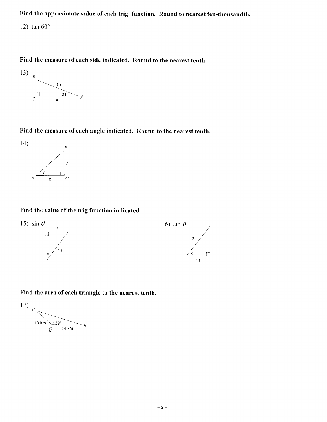Find the approximate value of each trig. function. Round to nearest ten-thousandth.

12) tan  $60^\circ$ 

Find the measure of each side indicated. Round to the nearest tenth.



Find the measure of each angle indicated. Round to the nearest tenth.



#### Find the value of the trig function indicated.



Find the area of each triangle to the nearest tenth.